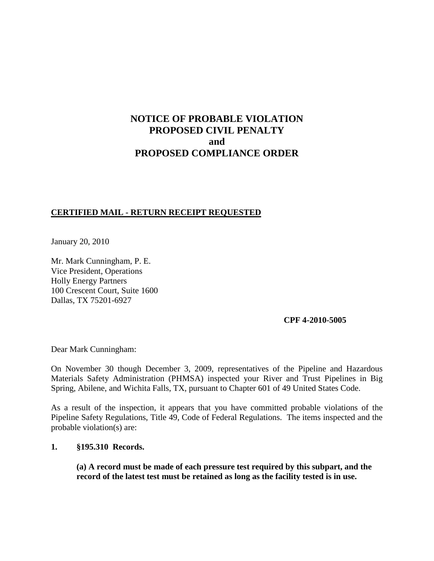# **NOTICE OF PROBABLE VIOLATION PROPOSED CIVIL PENALTY and PROPOSED COMPLIANCE ORDER**

# **CERTIFIED MAIL - RETURN RECEIPT REQUESTED**

January 20, 2010

Mr. Mark Cunningham, P. E. Vice President, Operations Holly Energy Partners 100 Crescent Court, Suite 1600 Dallas, TX 75201-6927

### **CPF 4-2010-5005**

Dear Mark Cunningham:

On November 30 though December 3, 2009, representatives of the Pipeline and Hazardous Materials Safety Administration (PHMSA) inspected your River and Trust Pipelines in Big Spring, Abilene, and Wichita Falls, TX, pursuant to Chapter 601 of 49 United States Code.

As a result of the inspection, it appears that you have committed probable violations of the Pipeline Safety Regulations, Title 49, Code of Federal Regulations. The items inspected and the probable violation(s) are:

#### **1. §195.310 Records.**

**(a) A record must be made of each pressure test required by this subpart, and the record of the latest test must be retained as long as the facility tested is in use.**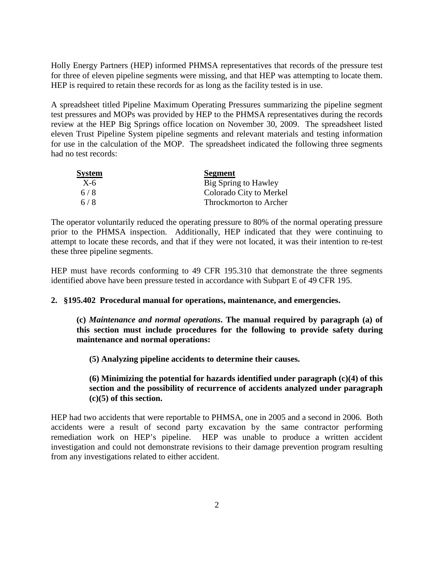Holly Energy Partners (HEP) informed PHMSA representatives that records of the pressure test for three of eleven pipeline segments were missing, and that HEP was attempting to locate them. HEP is required to retain these records for as long as the facility tested is in use.

A spreadsheet titled Pipeline Maximum Operating Pressures summarizing the pipeline segment test pressures and MOPs was provided by HEP to the PHMSA representatives during the records review at the HEP Big Springs office location on November 30, 2009. The spreadsheet listed eleven Trust Pipeline System pipeline segments and relevant materials and testing information for use in the calculation of the MOP. The spreadsheet indicated the following three segments had no test records:

| System | <b>Segment</b>          |
|--------|-------------------------|
| $X-6$  | Big Spring to Hawley    |
| 6/8    | Colorado City to Merkel |
| 6/8    | Throckmorton to Archer  |

The operator voluntarily reduced the operating pressure to 80% of the normal operating pressure prior to the PHMSA inspection. Additionally, HEP indicated that they were continuing to attempt to locate these records, and that if they were not located, it was their intention to re-test these three pipeline segments.

HEP must have records conforming to 49 CFR 195.310 that demonstrate the three segments identified above have been pressure tested in accordance with Subpart E of 49 CFR 195.

### **2. §195.402 Procedural manual for operations, maintenance, and emergencies.**

**(c)** *Maintenance and normal operations***. The manual required by paragraph (a) of this section must include procedures for the following to provide safety during maintenance and normal operations:** 

**(5) Analyzing pipeline accidents to determine their causes.**

### **(6) Minimizing the potential for hazards identified under paragraph (c)(4) of this section and the possibility of recurrence of accidents analyzed under paragraph (c)(5) of this section.**

HEP had two accidents that were reportable to PHMSA, one in 2005 and a second in 2006. Both accidents were a result of second party excavation by the same contractor performing remediation work on HEP's pipeline. HEP was unable to produce a written accident investigation and could not demonstrate revisions to their damage prevention program resulting from any investigations related to either accident.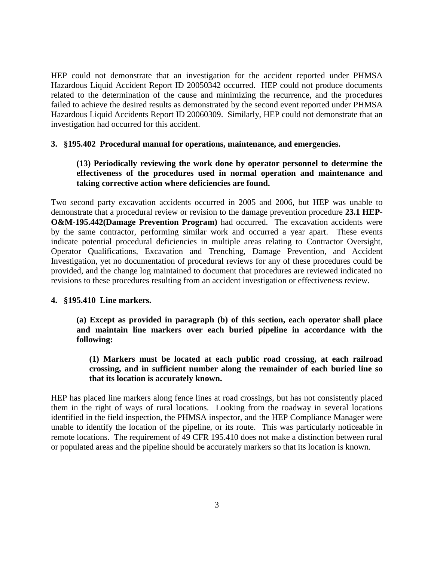HEP could not demonstrate that an investigation for the accident reported under PHMSA Hazardous Liquid Accident Report ID 20050342 occurred. HEP could not produce documents related to the determination of the cause and minimizing the recurrence, and the procedures failed to achieve the desired results as demonstrated by the second event reported under PHMSA Hazardous Liquid Accidents Report ID 20060309. Similarly, HEP could not demonstrate that an investigation had occurred for this accident.

#### **3. §195.402 Procedural manual for operations, maintenance, and emergencies.**

## **(13) Periodically reviewing the work done by operator personnel to determine the effectiveness of the procedures used in normal operation and maintenance and taking corrective action where deficiencies are found.**

Two second party excavation accidents occurred in 2005 and 2006, but HEP was unable to demonstrate that a procedural review or revision to the damage prevention procedure **23.1 HEP-O&M-195.442(Damage Prevention Program)** had occurred. The excavation accidents were by the same contractor, performing similar work and occurred a year apart. These events indicate potential procedural deficiencies in multiple areas relating to Contractor Oversight, Operator Qualifications, Excavation and Trenching, Damage Prevention, and Accident Investigation, yet no documentation of procedural reviews for any of these procedures could be provided, and the change log maintained to document that procedures are reviewed indicated no revisions to these procedures resulting from an accident investigation or effectiveness review.

#### **4. §195.410 Line markers.**

**(a) Except as provided in paragraph (b) of this section, each operator shall place and maintain line markers over each buried pipeline in accordance with the following:**

### **(1) Markers must be located at each public road crossing, at each railroad crossing, and in sufficient number along the remainder of each buried line so that its location is accurately known.**

HEP has placed line markers along fence lines at road crossings, but has not consistently placed them in the right of ways of rural locations. Looking from the roadway in several locations identified in the field inspection, the PHMSA inspector, and the HEP Compliance Manager were unable to identify the location of the pipeline, or its route. This was particularly noticeable in remote locations. The requirement of 49 CFR 195.410 does not make a distinction between rural or populated areas and the pipeline should be accurately markers so that its location is known.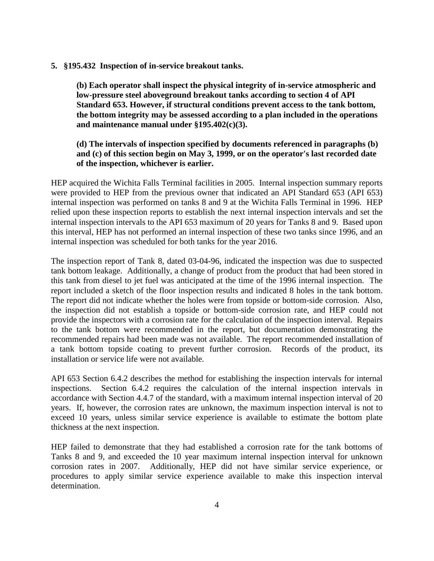**5. §195.432 Inspection of in-service breakout tanks.**

**(b) Each operator shall inspect the physical integrity of in-service atmospheric and low-pressure steel aboveground breakout tanks according to section 4 of API Standard 653. However, if structural conditions prevent access to the tank bottom, the bottom integrity may be assessed according to a plan included in the operations and maintenance manual under §195.402(c)(3).**

### **(d) The intervals of inspection specified by documents referenced in paragraphs (b) and (c) of this section begin on May 3, 1999, or on the operator's last recorded date of the inspection, whichever is earlier.**

HEP acquired the Wichita Falls Terminal facilities in 2005. Internal inspection summary reports were provided to HEP from the previous owner that indicated an API Standard 653 (API 653) internal inspection was performed on tanks 8 and 9 at the Wichita Falls Terminal in 1996. HEP relied upon these inspection reports to establish the next internal inspection intervals and set the internal inspection intervals to the API 653 maximum of 20 years for Tanks 8 and 9. Based upon this interval, HEP has not performed an internal inspection of these two tanks since 1996, and an internal inspection was scheduled for both tanks for the year 2016.

The inspection report of Tank 8, dated 03-04-96, indicated the inspection was due to suspected tank bottom leakage. Additionally, a change of product from the product that had been stored in this tank from diesel to jet fuel was anticipated at the time of the 1996 internal inspection. The report included a sketch of the floor inspection results and indicated 8 holes in the tank bottom. The report did not indicate whether the holes were from topside or bottom-side corrosion. Also, the inspection did not establish a topside or bottom-side corrosion rate, and HEP could not provide the inspectors with a corrosion rate for the calculation of the inspection interval. Repairs to the tank bottom were recommended in the report, but documentation demonstrating the recommended repairs had been made was not available. The report recommended installation of a tank bottom topside coating to prevent further corrosion. Records of the product, its installation or service life were not available.

API 653 Section 6.4.2 describes the method for establishing the inspection intervals for internal inspections. Section 6.4.2 requires the calculation of the internal inspection intervals in accordance with Section 4.4.7 of the standard, with a maximum internal inspection interval of 20 years. If, however, the corrosion rates are unknown, the maximum inspection interval is not to exceed 10 years, unless similar service experience is available to estimate the bottom plate thickness at the next inspection.

HEP failed to demonstrate that they had established a corrosion rate for the tank bottoms of Tanks 8 and 9, and exceeded the 10 year maximum internal inspection interval for unknown corrosion rates in 2007. Additionally, HEP did not have similar service experience, or procedures to apply similar service experience available to make this inspection interval determination.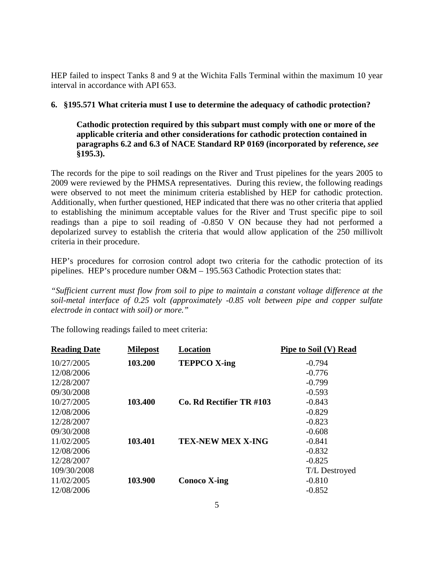HEP failed to inspect Tanks 8 and 9 at the Wichita Falls Terminal within the maximum 10 year interval in accordance with API 653.

## **6. §195.571 What criteria must I use to determine the adequacy of cathodic protection?**

**Cathodic protection required by this subpart must comply with one or more of the applicable criteria and other considerations for cathodic protection contained in paragraphs 6.2 and 6.3 of NACE Standard RP 0169 (incorporated by reference,** *see* **§195.3).**

The records for the pipe to soil readings on the River and Trust pipelines for the years 2005 to 2009 were reviewed by the PHMSA representatives. During this review, the following readings were observed to not meet the minimum criteria established by HEP for cathodic protection. Additionally, when further questioned, HEP indicated that there was no other criteria that applied to establishing the minimum acceptable values for the River and Trust specific pipe to soil readings than a pipe to soil reading of -0.850 V ON because they had not performed a depolarized survey to establish the criteria that would allow application of the 250 millivolt criteria in their procedure.

HEP's procedures for corrosion control adopt two criteria for the cathodic protection of its pipelines. HEP's procedure number O&M – 195.563 Cathodic Protection states that:

*"Sufficient current must flow from soil to pipe to maintain a constant voltage difference at the soil-metal interface of 0.25 volt (approximately -0.85 volt between pipe and copper sulfate electrode in contact with soil) or more."*

The following readings failed to meet criteria:

| <b>Reading Date</b> | <b>Milepost</b> | <b>Location</b>          | <b>Pipe to Soil (V) Read</b> |
|---------------------|-----------------|--------------------------|------------------------------|
| 10/27/2005          | 103.200         | <b>TEPPCO X-ing</b>      | $-0.794$                     |
| 12/08/2006          |                 |                          | $-0.776$                     |
| 12/28/2007          |                 |                          | $-0.799$                     |
| 09/30/2008          |                 |                          | $-0.593$                     |
| 10/27/2005          | 103.400         | Co. Rd Rectifier TR #103 | $-0.843$                     |
| 12/08/2006          |                 |                          | $-0.829$                     |
| 12/28/2007          |                 |                          | $-0.823$                     |
| 09/30/2008          |                 |                          | $-0.608$                     |
| 11/02/2005          | 103.401         | <b>TEX-NEW MEX X-ING</b> | $-0.841$                     |
| 12/08/2006          |                 |                          | $-0.832$                     |
| 12/28/2007          |                 |                          | $-0.825$                     |
| 109/30/2008         |                 |                          | T/L Destroyed                |
| 11/02/2005          | 103.900         | <b>Conoco X-ing</b>      | $-0.810$                     |
| 12/08/2006          |                 |                          | $-0.852$                     |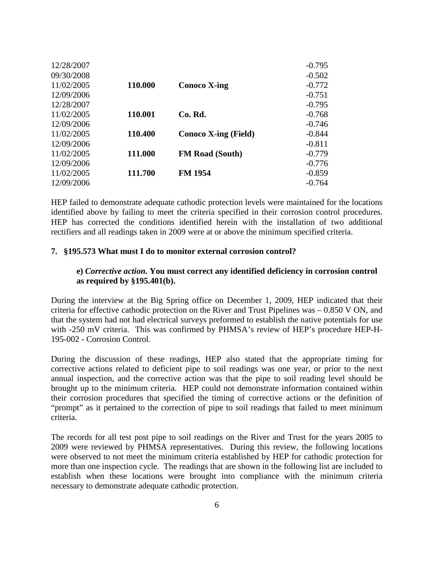| 12/28/2007 |         |                             | $-0.795$ |
|------------|---------|-----------------------------|----------|
| 09/30/2008 |         |                             | $-0.502$ |
| 11/02/2005 | 110.000 | Conoco X-ing                | $-0.772$ |
| 12/09/2006 |         |                             | $-0.751$ |
| 12/28/2007 |         |                             | $-0.795$ |
| 11/02/2005 | 110.001 | Co. Rd.                     | $-0.768$ |
| 12/09/2006 |         |                             | $-0.746$ |
| 11/02/2005 | 110.400 | <b>Conoco X-ing (Field)</b> | $-0.844$ |
| 12/09/2006 |         |                             | $-0.811$ |
| 11/02/2005 | 111.000 | <b>FM Road (South)</b>      | $-0.779$ |
| 12/09/2006 |         |                             | $-0.776$ |
| 11/02/2005 | 111.700 | <b>FM 1954</b>              | $-0.859$ |
| 12/09/2006 |         |                             | $-0.764$ |

HEP failed to demonstrate adequate cathodic protection levels were maintained for the locations identified above by failing to meet the criteria specified in their corrosion control procedures. HEP has corrected the conditions identified herein with the installation of two additional rectifiers and all readings taken in 2009 were at or above the minimum specified criteria.

#### **7. §195.573 What must I do to monitor external corrosion control?**

#### **e)** *Corrective action.* **You must correct any identified deficiency in corrosion control as required by §195.401(b).**

During the interview at the Big Spring office on December 1, 2009, HEP indicated that their criteria for effective cathodic protection on the River and Trust Pipelines was – 0.850 V ON, and that the system had not had electrical surveys preformed to establish the native potentials for use with -250 mV criteria. This was confirmed by PHMSA's review of HEP's procedure HEP-H-195-002 - Corrosion Control.

During the discussion of these readings, HEP also stated that the appropriate timing for corrective actions related to deficient pipe to soil readings was one year, or prior to the next annual inspection, and the corrective action was that the pipe to soil reading level should be brought up to the minimum criteria. HEP could not demonstrate information contained within their corrosion procedures that specified the timing of corrective actions or the definition of "prompt" as it pertained to the correction of pipe to soil readings that failed to meet minimum criteria.

The records for all test post pipe to soil readings on the River and Trust for the years 2005 to 2009 were reviewed by PHMSA representatives. During this review, the following locations were observed to not meet the minimum criteria established by HEP for cathodic protection for more than one inspection cycle. The readings that are shown in the following list are included to establish when these locations were brought into compliance with the minimum criteria necessary to demonstrate adequate cathodic protection.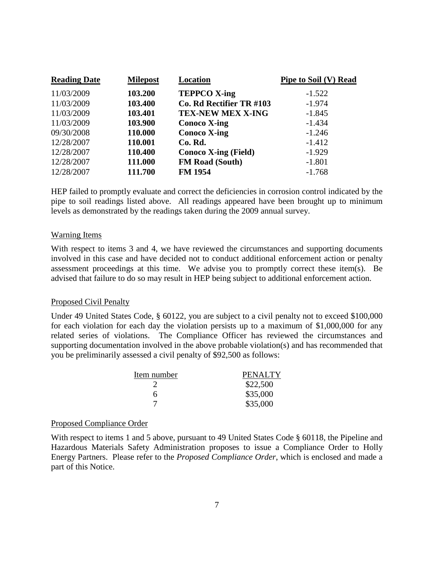| <b>Reading Date</b> | <b>Milepost</b> | Location                    | Pipe to Soil (V) Read |
|---------------------|-----------------|-----------------------------|-----------------------|
| 11/03/2009          | 103.200         | <b>TEPPCO X-ing</b>         | $-1.522$              |
| 11/03/2009          | 103.400         | Co. Rd Rectifier TR #103    | $-1.974$              |
| 11/03/2009          | 103.401         | <b>TEX-NEW MEX X-ING</b>    | $-1.845$              |
| 11/03/2009          | 103.900         | <b>Conoco X-ing</b>         | $-1.434$              |
| 09/30/2008          | 110.000         | <b>Conoco X-ing</b>         | $-1.246$              |
| 12/28/2007          | 110.001         | Co. Rd.                     | $-1.412$              |
| 12/28/2007          | 110.400         | <b>Conoco X-ing (Field)</b> | $-1.929$              |
| 12/28/2007          | 111.000         | <b>FM Road (South)</b>      | $-1.801$              |
| 12/28/2007          | 111.700         | <b>FM 1954</b>              | $-1.768$              |

HEP failed to promptly evaluate and correct the deficiencies in corrosion control indicated by the pipe to soil readings listed above. All readings appeared have been brought up to minimum levels as demonstrated by the readings taken during the 2009 annual survey.

#### Warning Items

With respect to items 3 and 4, we have reviewed the circumstances and supporting documents involved in this case and have decided not to conduct additional enforcement action or penalty assessment proceedings at this time. We advise you to promptly correct these item(s). Be advised that failure to do so may result in HEP being subject to additional enforcement action.

#### Proposed Civil Penalty

Under 49 United States Code, § 60122, you are subject to a civil penalty not to exceed \$100,000 for each violation for each day the violation persists up to a maximum of \$1,000,000 for any related series of violations. The Compliance Officer has reviewed the circumstances and supporting documentation involved in the above probable violation(s) and has recommended that you be preliminarily assessed a civil penalty of \$92,500 as follows:

| Item number | <b>PENALTY</b> |
|-------------|----------------|
|             | \$22,500       |
| h           | \$35,000       |
|             | \$35,000       |

#### Proposed Compliance Order

With respect to items 1 and 5 above, pursuant to 49 United States Code § 60118, the Pipeline and Hazardous Materials Safety Administration proposes to issue a Compliance Order to Holly Energy Partners. Please refer to the *Proposed Compliance Order*, which is enclosed and made a part of this Notice.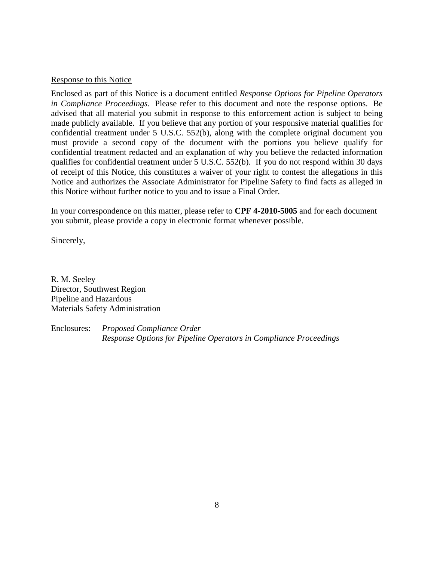#### Response to this Notice

Enclosed as part of this Notice is a document entitled *Response Options for Pipeline Operators in Compliance Proceedings*. Please refer to this document and note the response options. Be advised that all material you submit in response to this enforcement action is subject to being made publicly available. If you believe that any portion of your responsive material qualifies for confidential treatment under 5 U.S.C. 552(b), along with the complete original document you must provide a second copy of the document with the portions you believe qualify for confidential treatment redacted and an explanation of why you believe the redacted information qualifies for confidential treatment under 5 U.S.C. 552(b). If you do not respond within 30 days of receipt of this Notice, this constitutes a waiver of your right to contest the allegations in this Notice and authorizes the Associate Administrator for Pipeline Safety to find facts as alleged in this Notice without further notice to you and to issue a Final Order.

In your correspondence on this matter, please refer to **CPF 4-2010-5005** and for each document you submit, please provide a copy in electronic format whenever possible.

Sincerely,

R. M. Seeley Director, Southwest Region Pipeline and Hazardous Materials Safety Administration

Enclosures: *Proposed Compliance Order Response Options for Pipeline Operators in Compliance Proceedings*